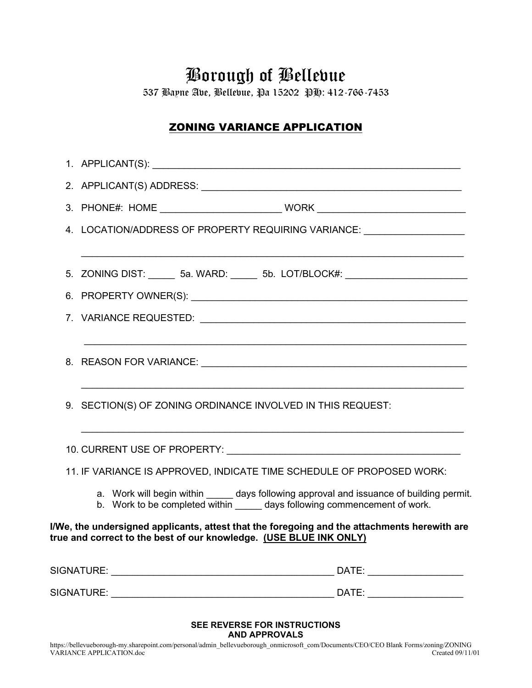# Borough of Bellevue

537 Bayne Ave, Bellevue, Pa 15202 PH: 412-766-7453

## ZONING VARIANCE APPLICATION

|  |                                                             | 4. LOCATION/ADDRESS OF PROPERTY REQUIRING VARIANCE: ______________________                                                                                              |  |
|--|-------------------------------------------------------------|-------------------------------------------------------------------------------------------------------------------------------------------------------------------------|--|
|  |                                                             | 5. ZONING DIST: _______ 5a. WARD: ______ 5b. LOT/BLOCK#: _______________________                                                                                        |  |
|  |                                                             |                                                                                                                                                                         |  |
|  |                                                             |                                                                                                                                                                         |  |
|  |                                                             |                                                                                                                                                                         |  |
|  | 9. SECTION(S) OF ZONING ORDINANCE INVOLVED IN THIS REQUEST: |                                                                                                                                                                         |  |
|  |                                                             |                                                                                                                                                                         |  |
|  |                                                             | 11. IF VARIANCE IS APPROVED, INDICATE TIME SCHEDULE OF PROPOSED WORK:                                                                                                   |  |
|  |                                                             | a. Work will begin within ______ days following approval and issuance of building permit.<br>b. Work to be completed within ______ days following commencement of work. |  |
|  |                                                             | I/We, the undersigned applicants, attest that the foregoing and the attachments herewith are<br>true and correct to the best of our knowledge. (USE BLUE INK ONLY)      |  |
|  |                                                             |                                                                                                                                                                         |  |
|  |                                                             |                                                                                                                                                                         |  |
|  |                                                             |                                                                                                                                                                         |  |

#### **SEE REVERSE FOR INSTRUCTIONS AND APPROVALS**